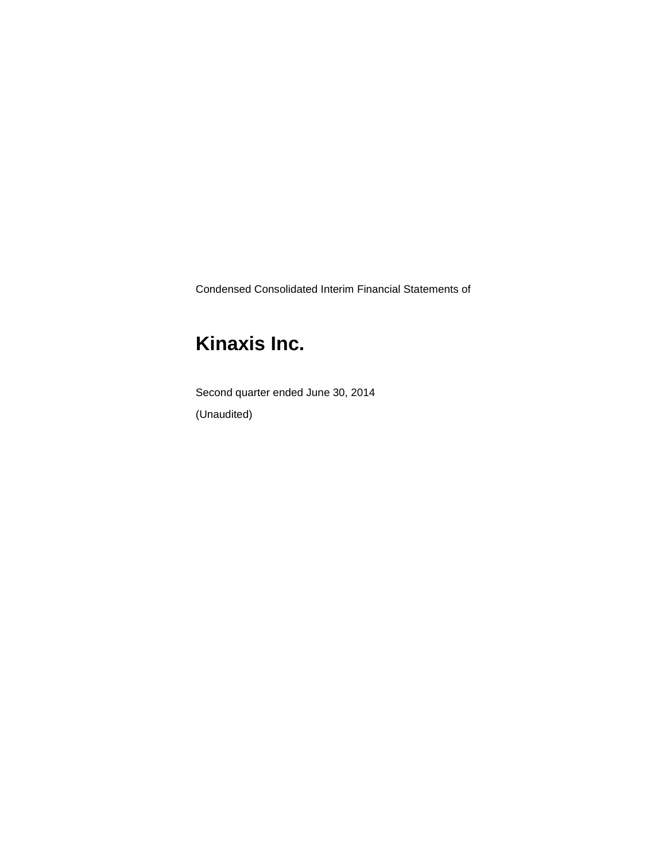Condensed Consolidated Interim Financial Statements of

# **Kinaxis Inc.**

Second quarter ended June 30, 2014 (Unaudited)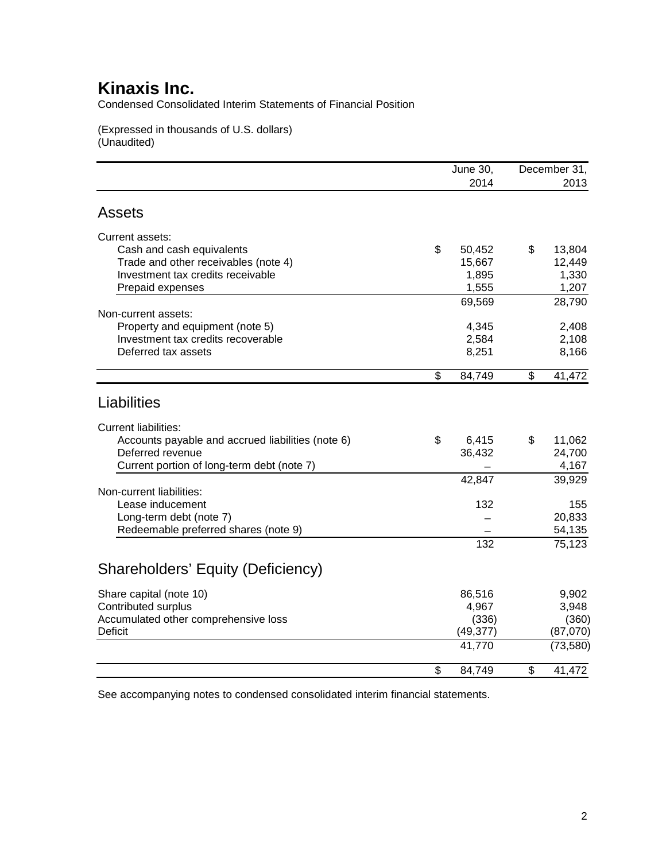Condensed Consolidated Interim Statements of Financial Position

(Expressed in thousands of U.S. dollars) (Unaudited)

|                                                   | <b>June 30,</b> | December 31, |           |
|---------------------------------------------------|-----------------|--------------|-----------|
|                                                   | 2014            |              | 2013      |
| <b>Assets</b>                                     |                 |              |           |
| Current assets:                                   |                 |              |           |
| Cash and cash equivalents                         | \$<br>50,452    | \$           | 13,804    |
| Trade and other receivables (note 4)              | 15,667          |              | 12,449    |
| Investment tax credits receivable                 | 1,895           |              | 1,330     |
| Prepaid expenses                                  | 1,555           |              | 1,207     |
|                                                   | 69,569          |              | 28,790    |
| Non-current assets:                               |                 |              |           |
| Property and equipment (note 5)                   | 4,345           |              | 2,408     |
| Investment tax credits recoverable                | 2,584           |              | 2,108     |
| Deferred tax assets                               | 8,251           |              | 8,166     |
|                                                   | \$<br>84,749    | \$           | 41,472    |
| Liabilities                                       |                 |              |           |
| <b>Current liabilities:</b>                       |                 |              |           |
| Accounts payable and accrued liabilities (note 6) | \$<br>6,415     | \$           | 11,062    |
| Deferred revenue                                  | 36,432          |              | 24,700    |
| Current portion of long-term debt (note 7)        |                 |              | 4,167     |
|                                                   | 42,847          |              | 39,929    |
| Non-current liabilities:                          |                 |              |           |
| Lease inducement                                  | 132             |              | 155       |
| Long-term debt (note 7)                           |                 |              | 20,833    |
| Redeemable preferred shares (note 9)              |                 |              | 54,135    |
|                                                   | 132             |              | 75,123    |
| Shareholders' Equity (Deficiency)                 |                 |              |           |
| Share capital (note 10)                           | 86,516          |              | 9,902     |
| Contributed surplus                               | 4,967           |              | 3,948     |
| Accumulated other comprehensive loss              | (336)           |              | (360)     |
| <b>Deficit</b>                                    | (49, 377)       |              | (87,070)  |
|                                                   | 41,770          |              | (73, 580) |
|                                                   | \$<br>84,749    | \$           | 41,472    |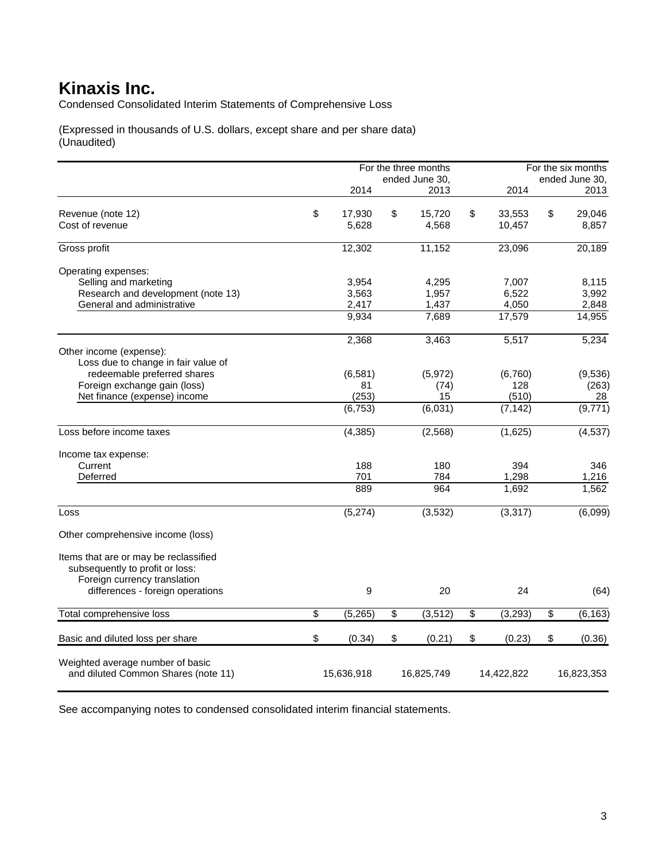Condensed Consolidated Interim Statements of Comprehensive Loss

(Expressed in thousands of U.S. dollars, except share and per share data) (Unaudited)

|                                       | For the three months |    |                | For the six months |    |                |
|---------------------------------------|----------------------|----|----------------|--------------------|----|----------------|
|                                       |                      |    | ended June 30, |                    |    | ended June 30, |
|                                       | 2014                 |    | 2013           | 2014               |    | 2013           |
| Revenue (note 12)                     | \$<br>17,930         | \$ | 15,720         | \$<br>33,553       | \$ | 29,046         |
| Cost of revenue                       | 5,628                |    | 4,568          | 10,457             |    | 8,857          |
| Gross profit                          | 12,302               |    | 11,152         | 23,096             |    | 20,189         |
| Operating expenses:                   |                      |    |                |                    |    |                |
| Selling and marketing                 | 3,954                |    | 4,295          | 7.007              |    | 8,115          |
| Research and development (note 13)    | 3,563                |    | 1,957          | 6,522              |    | 3,992          |
| General and administrative            | 2,417                |    | 1,437          | 4,050              |    | 2,848          |
|                                       | 9,934                |    | 7,689          | 17,579             |    | 14,955         |
|                                       | 2,368                |    | 3,463          | 5,517              |    | 5,234          |
| Other income (expense):               |                      |    |                |                    |    |                |
| Loss due to change in fair value of   |                      |    |                |                    |    |                |
| redeemable preferred shares           | (6, 581)             |    | (5,972)        | (6,760)            |    | (9,536)        |
| Foreign exchange gain (loss)          | 81                   |    | (74)           | 128                |    | (263)          |
| Net finance (expense) income          | (253)                |    | 15             | (510)              |    | 28             |
|                                       | (6, 753)             |    | (6,031)        | (7, 142)           |    | (9,771)        |
| Loss before income taxes              | (4, 385)             |    | (2, 568)       | (1,625)            |    | (4, 537)       |
| Income tax expense:                   |                      |    |                |                    |    |                |
| Current                               | 188                  |    | 180            | 394                |    | 346            |
| Deferred                              | 701                  |    | 784            | 1,298              |    | 1,216          |
|                                       | 889                  |    | 964            | 1,692              |    | 1,562          |
| Loss                                  | (5,274)              |    | (3, 532)       | (3, 317)           |    | (6,099)        |
| Other comprehensive income (loss)     |                      |    |                |                    |    |                |
| Items that are or may be reclassified |                      |    |                |                    |    |                |
| subsequently to profit or loss:       |                      |    |                |                    |    |                |
| Foreign currency translation          |                      |    |                |                    |    |                |
| differences - foreign operations      | 9                    |    | 20             | 24                 |    | (64)           |
| Total comprehensive loss              | \$<br>(5,265)        | \$ | (3, 512)       | \$<br>(3, 293)     | \$ | (6, 163)       |
| Basic and diluted loss per share      | \$<br>(0.34)         | \$ | (0.21)         | \$<br>(0.23)       | \$ | (0.36)         |
|                                       |                      |    |                |                    |    |                |
| Weighted average number of basic      |                      |    |                |                    |    |                |
| and diluted Common Shares (note 11)   | 15,636,918           |    | 16,825,749     | 14,422,822         |    | 16,823,353     |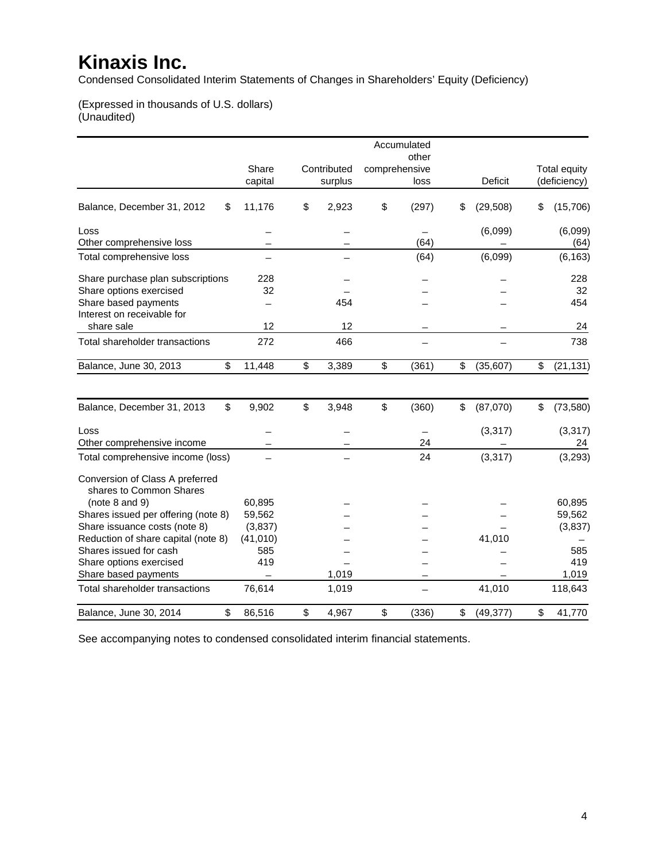Condensed Consolidated Interim Statements of Changes in Shareholders' Equity (Deficiency)

(Expressed in thousands of U.S. dollars) (Unaudited)

|                                                                                                                    |                      |                        | Accumulated                    |                 |                                     |
|--------------------------------------------------------------------------------------------------------------------|----------------------|------------------------|--------------------------------|-----------------|-------------------------------------|
|                                                                                                                    | Share<br>capital     | Contributed<br>surplus | other<br>comprehensive<br>loss | Deficit         | <b>Total equity</b><br>(deficiency) |
| Balance, December 31, 2012<br>\$                                                                                   | 11,176               | \$<br>2,923            | \$<br>(297)                    | \$<br>(29, 508) | \$<br>(15, 706)                     |
| Loss<br>Other comprehensive loss                                                                                   |                      |                        | (64)                           | (6,099)         | (6,099)<br>(64)                     |
| Total comprehensive loss                                                                                           |                      |                        | (64)                           | (6,099)         | (6, 163)                            |
| Share purchase plan subscriptions<br>Share options exercised<br>Share based payments<br>Interest on receivable for | 228<br>32            | 454                    |                                |                 | 228<br>32<br>454                    |
| share sale                                                                                                         | 12                   | 12                     |                                |                 | 24                                  |
| Total shareholder transactions                                                                                     | 272                  | 466                    |                                |                 | 738                                 |
| Balance, June 30, 2013<br>\$                                                                                       | 11,448               | \$<br>3,389            | \$<br>(361)                    | \$<br>(35, 607) | \$<br>(21, 131)                     |
| \$<br>Balance, December 31, 2013                                                                                   | 9,902                | \$<br>3,948            | \$<br>(360)                    | \$<br>(87,070)  | \$<br>(73, 580)                     |
| Loss<br>Other comprehensive income                                                                                 |                      |                        | 24                             | (3, 317)        | (3, 317)<br>24                      |
| Total comprehensive income (loss)                                                                                  |                      |                        | 24                             | (3, 317)        | (3, 293)                            |
| Conversion of Class A preferred<br>shares to Common Shares<br>(note $8$ and $9$ )                                  | 60,895               |                        |                                |                 | 60,895                              |
| Shares issued per offering (note 8)                                                                                | 59,562               |                        |                                |                 | 59,562                              |
| Share issuance costs (note 8)<br>Reduction of share capital (note 8)                                               | (3,837)<br>(41, 010) |                        |                                | 41,010          | (3,837)                             |
| Shares issued for cash                                                                                             | 585                  |                        |                                |                 | 585                                 |
| Share options exercised                                                                                            | 419                  |                        |                                |                 | 419                                 |
| Share based payments                                                                                               |                      | 1,019                  |                                |                 | 1,019                               |
| Total shareholder transactions                                                                                     | 76,614               | 1,019                  |                                | 41,010          | 118,643                             |
| \$<br>Balance, June 30, 2014                                                                                       | 86,516               | \$<br>4,967            | \$<br>(336)                    | \$<br>(49, 377) | \$<br>41,770                        |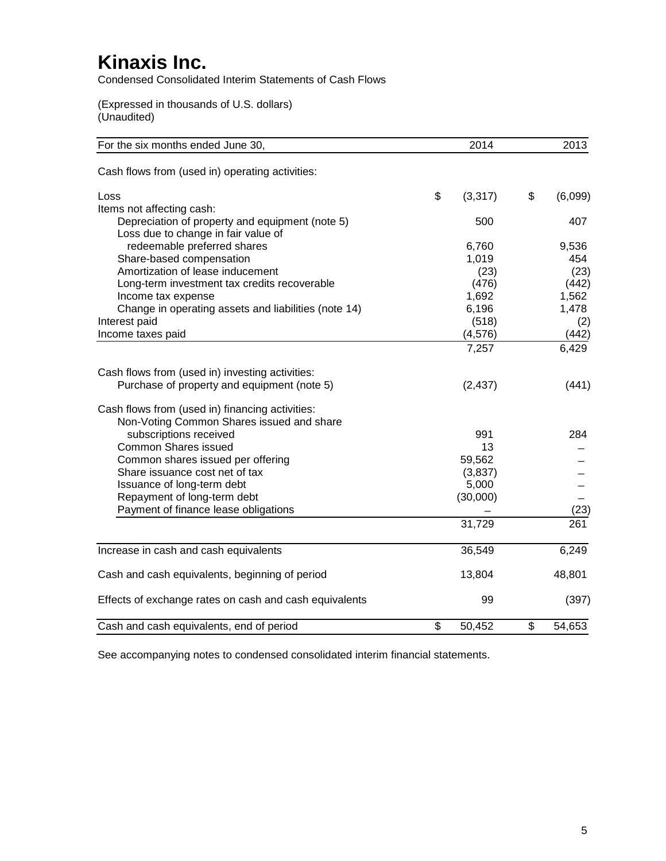Condensed Consolidated Interim Statements of Cash Flows

(Expressed in thousands of U.S. dollars) (Unaudited)

| For the six months ended June 30,                                                      | 2014           | 2013          |
|----------------------------------------------------------------------------------------|----------------|---------------|
| Cash flows from (used in) operating activities:                                        |                |               |
| Loss                                                                                   | \$<br>(3, 317) | \$<br>(6,099) |
| Items not affecting cash:                                                              |                |               |
| Depreciation of property and equipment (note 5)<br>Loss due to change in fair value of | 500            | 407           |
| redeemable preferred shares                                                            | 6,760          | 9,536         |
| Share-based compensation                                                               | 1,019          | 454           |
| Amortization of lease inducement                                                       | (23)           | (23)          |
| Long-term investment tax credits recoverable                                           | (476)          | (442)         |
| Income tax expense                                                                     | 1,692          | 1,562         |
| Change in operating assets and liabilities (note 14)                                   | 6,196          | 1,478         |
| Interest paid                                                                          | (518)          | (2)           |
| Income taxes paid                                                                      | (4, 576)       | (442)         |
|                                                                                        | 7,257          | 6,429         |
| Cash flows from (used in) investing activities:                                        |                |               |
| Purchase of property and equipment (note 5)                                            | (2, 437)       | (441)         |
| Cash flows from (used in) financing activities:                                        |                |               |
| Non-Voting Common Shares issued and share                                              |                |               |
| subscriptions received                                                                 | 991            | 284           |
| <b>Common Shares issued</b>                                                            | 13             |               |
| Common shares issued per offering                                                      | 59,562         |               |
| Share issuance cost net of tax                                                         | (3,837)        |               |
| Issuance of long-term debt                                                             | 5,000          |               |
| Repayment of long-term debt<br>Payment of finance lease obligations                    | (30,000)       |               |
|                                                                                        |                | (23)          |
|                                                                                        | 31,729         | 261           |
| Increase in cash and cash equivalents                                                  | 36,549         | 6,249         |
| Cash and cash equivalents, beginning of period                                         | 13,804         | 48,801        |
| Effects of exchange rates on cash and cash equivalents                                 | 99             | (397)         |
| Cash and cash equivalents, end of period                                               | \$<br>50,452   | \$<br>54,653  |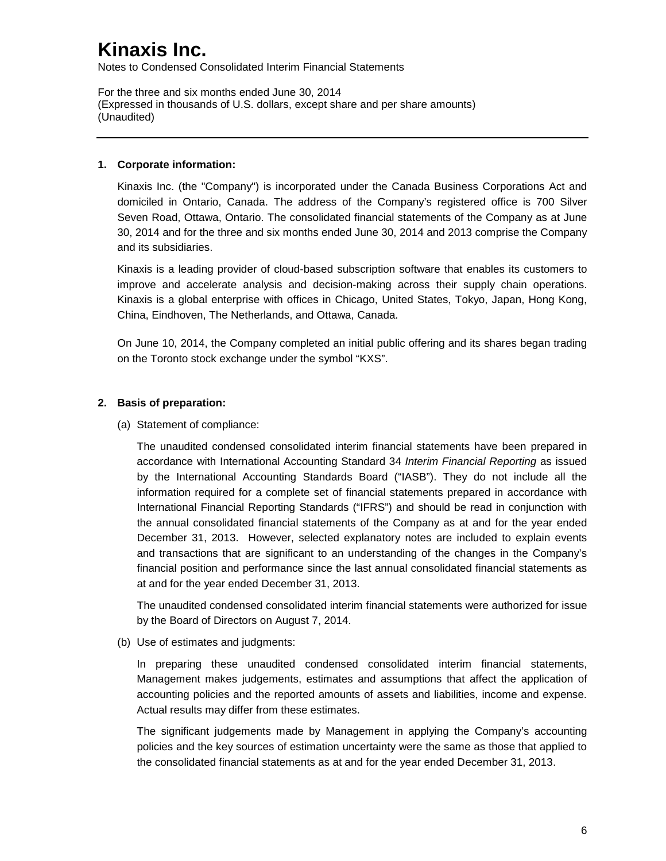Notes to Condensed Consolidated Interim Financial Statements

For the three and six months ended June 30, 2014 (Expressed in thousands of U.S. dollars, except share and per share amounts) (Unaudited)

### **1. Corporate information:**

Kinaxis Inc. (the "Company") is incorporated under the Canada Business Corporations Act and domiciled in Ontario, Canada. The address of the Company's registered office is 700 Silver Seven Road, Ottawa, Ontario. The consolidated financial statements of the Company as at June 30, 2014 and for the three and six months ended June 30, 2014 and 2013 comprise the Company and its subsidiaries.

Kinaxis is a leading provider of cloud-based subscription software that enables its customers to improve and accelerate analysis and decision-making across their supply chain operations. Kinaxis is a global enterprise with offices in Chicago, United States, Tokyo, Japan, Hong Kong, China, Eindhoven, The Netherlands, and Ottawa, Canada.

On June 10, 2014, the Company completed an initial public offering and its shares began trading on the Toronto stock exchange under the symbol "KXS".

### **2. Basis of preparation:**

(a) Statement of compliance:

The unaudited condensed consolidated interim financial statements have been prepared in accordance with International Accounting Standard 34 *Interim Financial Reporting* as issued by the International Accounting Standards Board ("IASB"). They do not include all the information required for a complete set of financial statements prepared in accordance with International Financial Reporting Standards ("IFRS") and should be read in conjunction with the annual consolidated financial statements of the Company as at and for the year ended December 31, 2013. However, selected explanatory notes are included to explain events and transactions that are significant to an understanding of the changes in the Company's financial position and performance since the last annual consolidated financial statements as at and for the year ended December 31, 2013.

The unaudited condensed consolidated interim financial statements were authorized for issue by the Board of Directors on August 7, 2014.

(b) Use of estimates and judgments:

In preparing these unaudited condensed consolidated interim financial statements, Management makes judgements, estimates and assumptions that affect the application of accounting policies and the reported amounts of assets and liabilities, income and expense. Actual results may differ from these estimates.

The significant judgements made by Management in applying the Company's accounting policies and the key sources of estimation uncertainty were the same as those that applied to the consolidated financial statements as at and for the year ended December 31, 2013.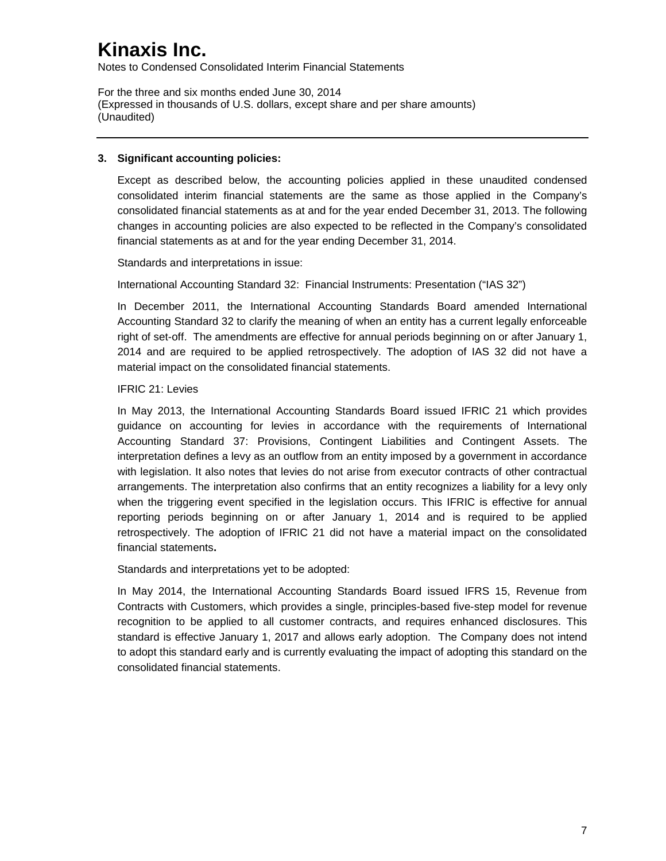Notes to Condensed Consolidated Interim Financial Statements

For the three and six months ended June 30, 2014 (Expressed in thousands of U.S. dollars, except share and per share amounts) (Unaudited)

### **3. Significant accounting policies:**

Except as described below, the accounting policies applied in these unaudited condensed consolidated interim financial statements are the same as those applied in the Company's consolidated financial statements as at and for the year ended December 31, 2013. The following changes in accounting policies are also expected to be reflected in the Company's consolidated financial statements as at and for the year ending December 31, 2014.

Standards and interpretations in issue:

International Accounting Standard 32: Financial Instruments: Presentation ("IAS 32")

In December 2011, the International Accounting Standards Board amended International Accounting Standard 32 to clarify the meaning of when an entity has a current legally enforceable right of set-off. The amendments are effective for annual periods beginning on or after January 1, 2014 and are required to be applied retrospectively. The adoption of IAS 32 did not have a material impact on the consolidated financial statements.

### IFRIC 21: Levies

In May 2013, the International Accounting Standards Board issued IFRIC 21 which provides guidance on accounting for levies in accordance with the requirements of International Accounting Standard 37: Provisions, Contingent Liabilities and Contingent Assets. The interpretation defines a levy as an outflow from an entity imposed by a government in accordance with legislation. It also notes that levies do not arise from executor contracts of other contractual arrangements. The interpretation also confirms that an entity recognizes a liability for a levy only when the triggering event specified in the legislation occurs. This IFRIC is effective for annual reporting periods beginning on or after January 1, 2014 and is required to be applied retrospectively. The adoption of IFRIC 21 did not have a material impact on the consolidated financial statements**.**

Standards and interpretations yet to be adopted:

In May 2014, the International Accounting Standards Board issued IFRS 15, Revenue from Contracts with Customers, which provides a single, principles-based five-step model for revenue recognition to be applied to all customer contracts, and requires enhanced disclosures. This standard is effective January 1, 2017 and allows early adoption. The Company does not intend to adopt this standard early and is currently evaluating the impact of adopting this standard on the consolidated financial statements.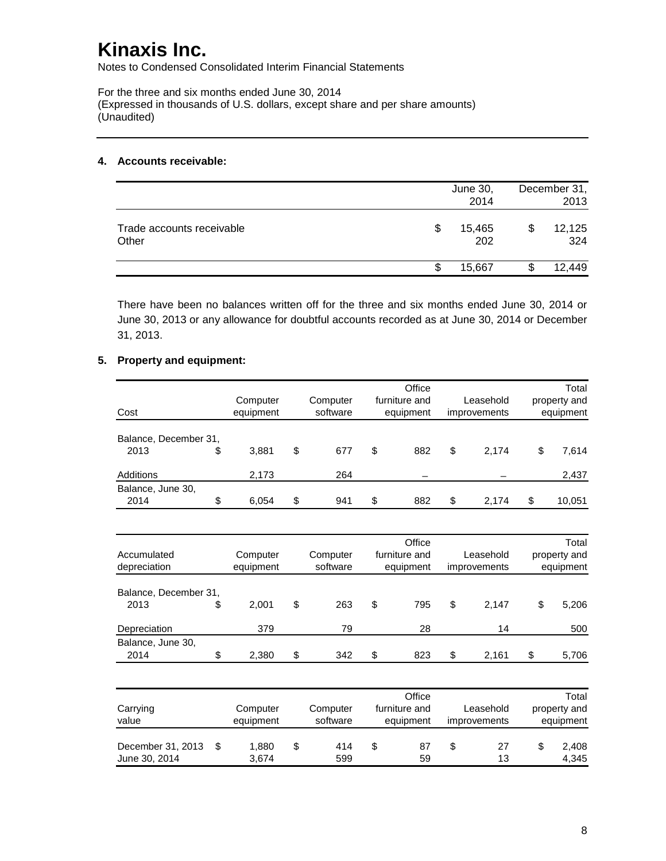Notes to Condensed Consolidated Interim Financial Statements

For the three and six months ended June 30, 2014 (Expressed in thousands of U.S. dollars, except share and per share amounts) (Unaudited)

### **4. Accounts receivable:**

|                                    |    | June 30,<br>2014 | December 31,<br>2013 |
|------------------------------------|----|------------------|----------------------|
| Trade accounts receivable<br>Other | \$ | 15,465<br>202    | 12,125<br>324        |
|                                    | ß. | 15,667           | 12,449               |

There have been no balances written off for the three and six months ended June 30, 2014 or June 30, 2013 or any allowance for doubtful accounts recorded as at June 30, 2014 or December 31, 2013.

### **5. Property and equipment:**

|                       |             |           | Office        |              | Total        |
|-----------------------|-------------|-----------|---------------|--------------|--------------|
|                       | Computer    | Computer  | furniture and | Leasehold    | property and |
| Cost                  | equipment   | software  | equipment     | improvements | equipment    |
|                       |             |           |               |              |              |
| Balance, December 31, |             |           |               |              |              |
| 2013                  | \$<br>3,881 | \$<br>677 | \$<br>882     | \$<br>2,174  | \$<br>7,614  |
| Additions             | 2,173       | 264       |               |              | 2,437        |
| Balance, June 30,     |             |           |               |              |              |
| 2014                  | \$<br>6,054 | \$<br>941 | \$<br>882     | \$<br>2,174  | \$<br>10,051 |
|                       |             |           |               |              |              |
|                       |             |           | Office        |              | Total        |
| Accumulated           | Computer    | Computer  | furniture and | Leasehold    | property and |
| depreciation          | equipment   | software  | equipment     | improvements | equipment    |
|                       |             |           |               |              |              |
| Balance, December 31, |             |           |               |              |              |
| 2013                  | \$<br>2,001 | \$<br>263 | \$<br>795     | \$<br>2,147  | \$<br>5,206  |
|                       |             |           |               |              |              |
| Depreciation          | 379         | 79        | 28            | 14           | 500          |
| Balance, June 30,     |             |           |               |              |              |
| 2014                  | \$<br>2,380 | \$<br>342 | \$<br>823     | \$<br>2,161  | \$<br>5,706  |
|                       |             |           |               |              |              |
|                       |             |           | Office        |              | Total        |
| Carrying              | Computer    | Computer  | furniture and | Leasehold    | property and |
| value                 | equipment   | software  | equipment     | improvements | equipment    |
|                       |             |           |               |              |              |
| December 31, 2013     | \$<br>1,880 | \$<br>414 | \$<br>87      | \$<br>27     | \$<br>2,408  |
| June 30, 2014         | 3,674       | 599       | 59            | 13           | 4,345        |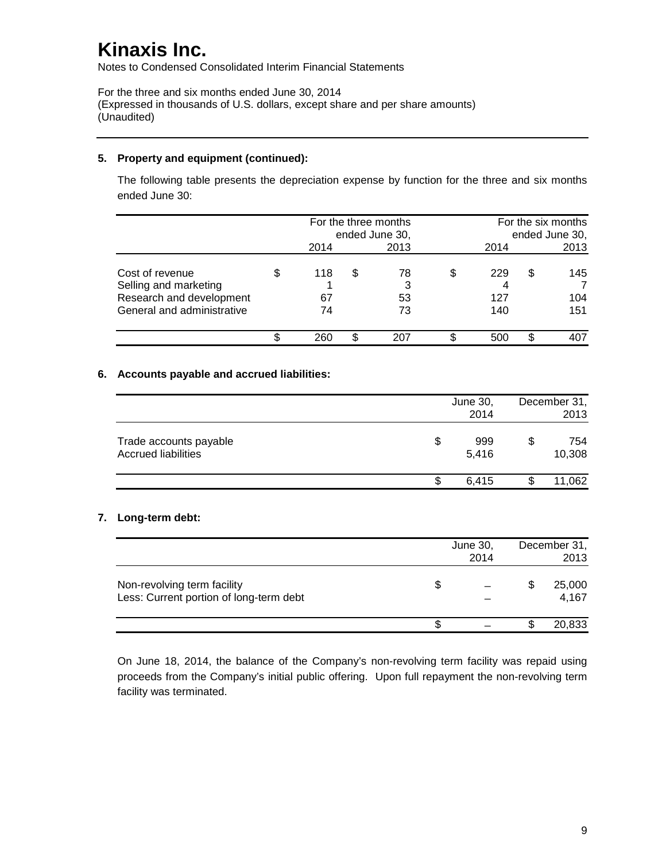Notes to Condensed Consolidated Interim Financial Statements

For the three and six months ended June 30, 2014 (Expressed in thousands of U.S. dollars, except share and per share amounts) (Unaudited)

### **5. Property and equipment (continued):**

The following table presents the depreciation expense by function for the three and six months ended June 30:

|                                                                                                    |                 | For the three months<br>ended June 30, | For the six months<br>ended June 30, |   |                   |
|----------------------------------------------------------------------------------------------------|-----------------|----------------------------------------|--------------------------------------|---|-------------------|
|                                                                                                    | 2014            | 2013                                   | 2014                                 |   | 2013              |
| Cost of revenue<br>Selling and marketing<br>Research and development<br>General and administrative | 118<br>67<br>74 | \$<br>78<br>3<br>53<br>73              | \$<br>229<br>127<br>140              | S | 145<br>104<br>151 |
|                                                                                                    | 260             | 20.                                    | 500                                  |   | 407               |

### **6. Accounts payable and accrued liabilities:**

|                                                      |   | June 30,<br>2014 | December 31,<br>2013 |
|------------------------------------------------------|---|------------------|----------------------|
| Trade accounts payable<br><b>Accrued liabilities</b> | S | 999<br>5,416     | \$<br>754<br>10,308  |
|                                                      | S | 6.415            | 11,062               |

### **7. Long-term debt:**

|                                                                        |     | June 30,<br>2014 | December 31,<br>2013 |
|------------------------------------------------------------------------|-----|------------------|----------------------|
| Non-revolving term facility<br>Less: Current portion of long-term debt | \$. |                  | 25,000<br>4,167      |
|                                                                        |     |                  | 20,833               |

On June 18, 2014, the balance of the Company's non-revolving term facility was repaid using proceeds from the Company's initial public offering. Upon full repayment the non-revolving term facility was terminated.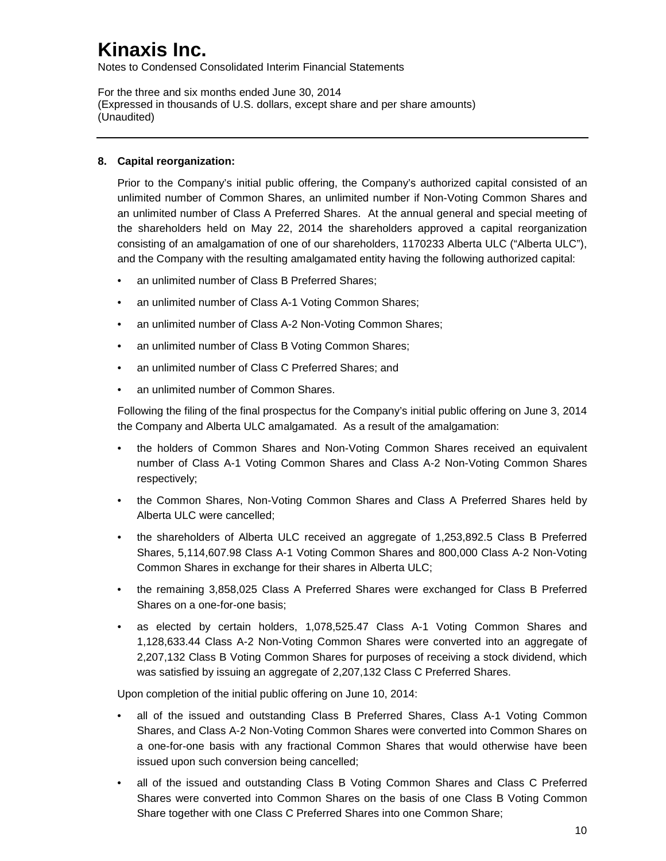Notes to Condensed Consolidated Interim Financial Statements

For the three and six months ended June 30, 2014 (Expressed in thousands of U.S. dollars, except share and per share amounts) (Unaudited)

### **8. Capital reorganization:**

Prior to the Company's initial public offering, the Company's authorized capital consisted of an unlimited number of Common Shares, an unlimited number if Non-Voting Common Shares and an unlimited number of Class A Preferred Shares. At the annual general and special meeting of the shareholders held on May 22, 2014 the shareholders approved a capital reorganization consisting of an amalgamation of one of our shareholders, 1170233 Alberta ULC ("Alberta ULC"), and the Company with the resulting amalgamated entity having the following authorized capital:

- an unlimited number of Class B Preferred Shares;
- an unlimited number of Class A-1 Voting Common Shares;
- an unlimited number of Class A-2 Non-Voting Common Shares;
- an unlimited number of Class B Voting Common Shares;
- an unlimited number of Class C Preferred Shares; and
- an unlimited number of Common Shares.

Following the filing of the final prospectus for the Company's initial public offering on June 3, 2014 the Company and Alberta ULC amalgamated. As a result of the amalgamation:

- the holders of Common Shares and Non-Voting Common Shares received an equivalent number of Class A-1 Voting Common Shares and Class A-2 Non-Voting Common Shares respectively;
- the Common Shares, Non-Voting Common Shares and Class A Preferred Shares held by Alberta ULC were cancelled;
- the shareholders of Alberta ULC received an aggregate of 1,253,892.5 Class B Preferred Shares, 5,114,607.98 Class A-1 Voting Common Shares and 800,000 Class A-2 Non-Voting Common Shares in exchange for their shares in Alberta ULC;
- the remaining 3,858,025 Class A Preferred Shares were exchanged for Class B Preferred Shares on a one-for-one basis;
- as elected by certain holders, 1,078,525.47 Class A-1 Voting Common Shares and 1,128,633.44 Class A-2 Non-Voting Common Shares were converted into an aggregate of 2,207,132 Class B Voting Common Shares for purposes of receiving a stock dividend, which was satisfied by issuing an aggregate of 2,207,132 Class C Preferred Shares.

Upon completion of the initial public offering on June 10, 2014:

- all of the issued and outstanding Class B Preferred Shares, Class A-1 Voting Common Shares, and Class A-2 Non-Voting Common Shares were converted into Common Shares on a one-for-one basis with any fractional Common Shares that would otherwise have been issued upon such conversion being cancelled;
- all of the issued and outstanding Class B Voting Common Shares and Class C Preferred Shares were converted into Common Shares on the basis of one Class B Voting Common Share together with one Class C Preferred Shares into one Common Share;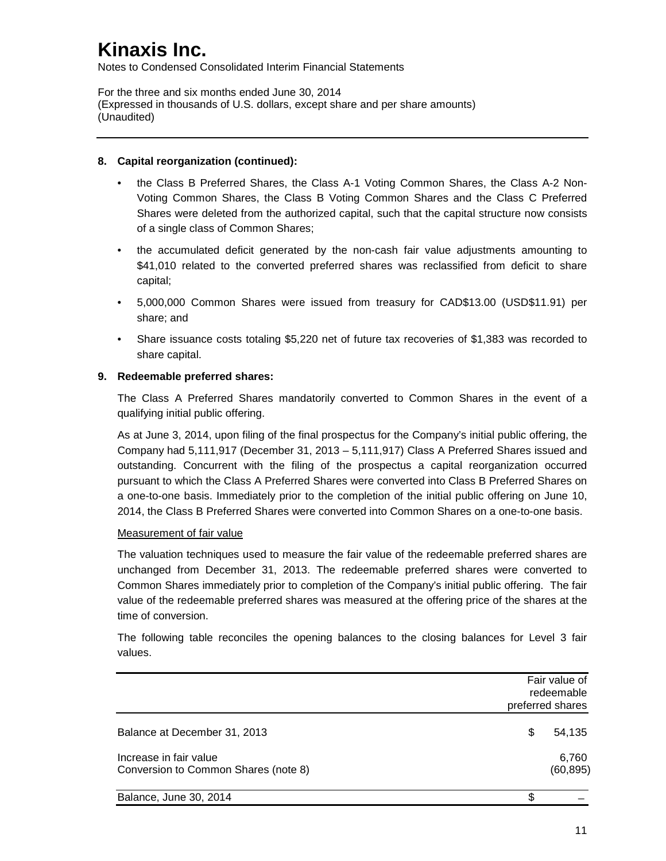Notes to Condensed Consolidated Interim Financial Statements

For the three and six months ended June 30, 2014 (Expressed in thousands of U.S. dollars, except share and per share amounts) (Unaudited)

### **8. Capital reorganization (continued):**

- the Class B Preferred Shares, the Class A-1 Voting Common Shares, the Class A-2 Non-Voting Common Shares, the Class B Voting Common Shares and the Class C Preferred Shares were deleted from the authorized capital, such that the capital structure now consists of a single class of Common Shares;
- the accumulated deficit generated by the non-cash fair value adjustments amounting to \$41,010 related to the converted preferred shares was reclassified from deficit to share capital;
- 5,000,000 Common Shares were issued from treasury for CAD\$13.00 (USD\$11.91) per share; and
- Share issuance costs totaling \$5,220 net of future tax recoveries of \$1,383 was recorded to share capital.

### **9. Redeemable preferred shares:**

The Class A Preferred Shares mandatorily converted to Common Shares in the event of a qualifying initial public offering.

As at June 3, 2014, upon filing of the final prospectus for the Company's initial public offering, the Company had 5,111,917 (December 31, 2013 – 5,111,917) Class A Preferred Shares issued and outstanding. Concurrent with the filing of the prospectus a capital reorganization occurred pursuant to which the Class A Preferred Shares were converted into Class B Preferred Shares on a one-to-one basis. Immediately prior to the completion of the initial public offering on June 10, 2014, the Class B Preferred Shares were converted into Common Shares on a one-to-one basis.

### Measurement of fair value

The valuation techniques used to measure the fair value of the redeemable preferred shares are unchanged from December 31, 2013. The redeemable preferred shares were converted to Common Shares immediately prior to completion of the Company's initial public offering. The fair value of the redeemable preferred shares was measured at the offering price of the shares at the time of conversion.

The following table reconciles the opening balances to the closing balances for Level 3 fair values.

|                                                                | Fair value of<br>redeemable<br>preferred shares |
|----------------------------------------------------------------|-------------------------------------------------|
| Balance at December 31, 2013                                   | 54,135<br>S                                     |
| Increase in fair value<br>Conversion to Common Shares (note 8) | 6,760<br>(60, 895)                              |
| Balance, June 30, 2014                                         |                                                 |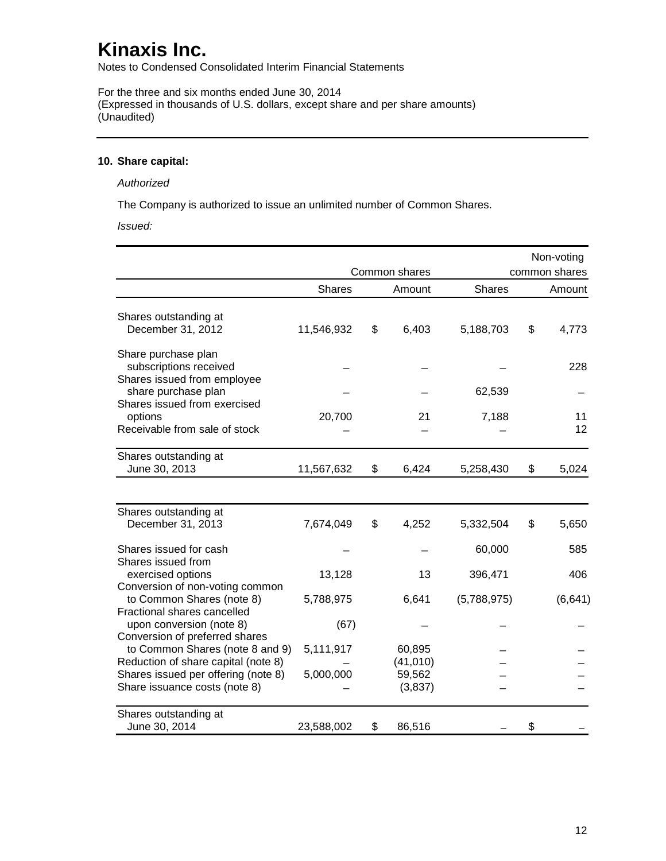Notes to Condensed Consolidated Interim Financial Statements

For the three and six months ended June 30, 2014 (Expressed in thousands of U.S. dollars, except share and per share amounts) (Unaudited)

### **10. Share capital:**

#### *Authorized*

The Company is authorized to issue an unlimited number of Common Shares.

*Issued:*

|                                                                              |               |                     |               | Non-voting    |
|------------------------------------------------------------------------------|---------------|---------------------|---------------|---------------|
|                                                                              |               | Common shares       |               | common shares |
|                                                                              | <b>Shares</b> | Amount              | <b>Shares</b> | Amount        |
| Shares outstanding at<br>December 31, 2012                                   | 11,546,932    | \$<br>6,403         | 5,188,703     | \$<br>4,773   |
| Share purchase plan<br>subscriptions received<br>Shares issued from employee |               |                     |               | 228           |
| share purchase plan                                                          |               |                     | 62,539        |               |
| Shares issued from exercised<br>options<br>Receivable from sale of stock     | 20,700        | 21                  | 7,188         | 11<br>12      |
| Shares outstanding at<br>June 30, 2013                                       | 11,567,632    | \$<br>6,424         | 5,258,430     | \$<br>5,024   |
|                                                                              |               |                     |               |               |
| Shares outstanding at<br>December 31, 2013                                   | 7,674,049     | \$<br>4,252         | 5,332,504     | \$<br>5,650   |
| Shares issued for cash                                                       |               |                     | 60,000        | 585           |
| Shares issued from<br>exercised options<br>Conversion of non-voting common   | 13,128        | 13                  | 396,471       | 406           |
| to Common Shares (note 8)<br>Fractional shares cancelled                     | 5,788,975     | 6,641               | (5,788,975)   | (6, 641)      |
| upon conversion (note 8)                                                     | (67)          |                     |               |               |
| Conversion of preferred shares<br>to Common Shares (note 8 and 9)            | 5,111,917     | 60,895              |               |               |
| Reduction of share capital (note 8)<br>Shares issued per offering (note 8)   | 5,000,000     | (41, 010)<br>59,562 |               |               |
| Share issuance costs (note 8)                                                |               | (3,837)             |               |               |
| Shares outstanding at<br>June 30, 2014                                       | 23,588,002    | \$<br>86,516        |               | \$            |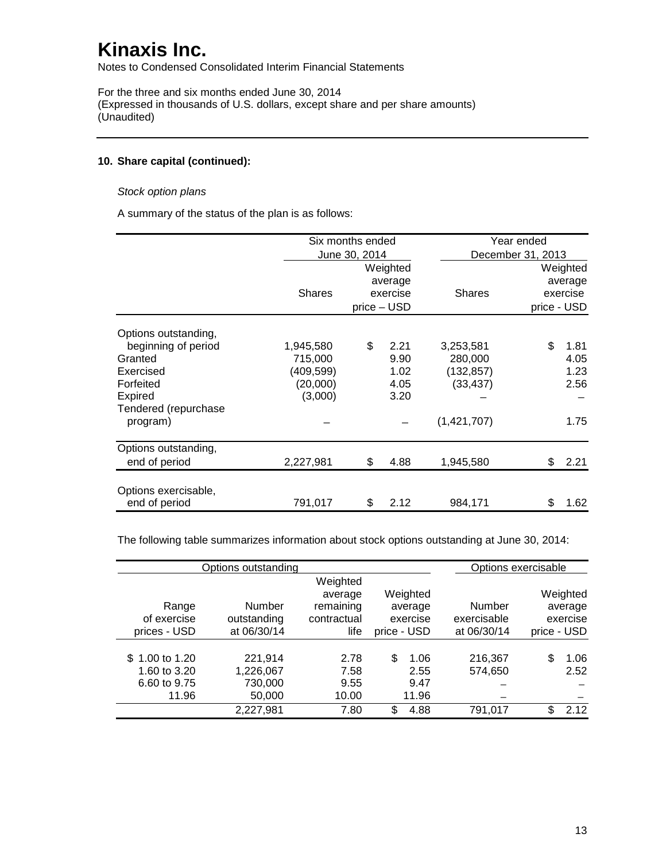Notes to Condensed Consolidated Interim Financial Statements

For the three and six months ended June 30, 2014 (Expressed in thousands of U.S. dollars, except share and per share amounts) (Unaudited)

### **10. Share capital (continued):**

### *Stock option plans*

A summary of the status of the plan is as follows:

|                      | Six months ended |               |             |               | Year ended                      |      |  |  |
|----------------------|------------------|---------------|-------------|---------------|---------------------------------|------|--|--|
|                      |                  | June 30, 2014 |             |               | December 31, 2013               |      |  |  |
|                      |                  |               | Weighted    |               | Weighted<br>average<br>exercise |      |  |  |
|                      |                  |               | average     |               |                                 |      |  |  |
|                      | <b>Shares</b>    |               | exercise    | <b>Shares</b> |                                 |      |  |  |
|                      |                  |               | price - USD |               | price - USD                     |      |  |  |
| Options outstanding, |                  |               |             |               |                                 |      |  |  |
| beginning of period  | 1,945,580        | \$            | 2.21        | 3,253,581     | \$                              | 1.81 |  |  |
| Granted              | 715,000          |               | 9.90        | 280,000       |                                 | 4.05 |  |  |
| Exercised            | (409,599)        |               | 1.02        | (132, 857)    |                                 | 1.23 |  |  |
| Forfeited            | (20,000)         |               | 4.05        | (33, 437)     |                                 | 2.56 |  |  |
| Expired              | (3,000)          |               | 3.20        |               |                                 |      |  |  |
| Tendered (repurchase |                  |               |             |               |                                 |      |  |  |
| program)             |                  |               |             | (1,421,707)   |                                 | 1.75 |  |  |
| Options outstanding, |                  |               |             |               |                                 |      |  |  |
| end of period        | 2,227,981        | \$            | 4.88        | 1,945,580     | \$                              | 2.21 |  |  |
| Options exercisable, |                  |               |             |               |                                 |      |  |  |
| end of period        | 791,017          | \$            | 2.12        | 984,171       | \$                              | 1.62 |  |  |

The following table summarizes information about stock options outstanding at June 30, 2014:

|                                                         | Options outstanding                       |                                                         |                                                |                                      | Options exercisable                            |
|---------------------------------------------------------|-------------------------------------------|---------------------------------------------------------|------------------------------------------------|--------------------------------------|------------------------------------------------|
| Range<br>of exercise<br>prices - USD                    | Number<br>outstanding<br>at 06/30/14      | Weighted<br>average<br>remaining<br>contractual<br>life | Weighted<br>average<br>exercise<br>price - USD | Number<br>exercisable<br>at 06/30/14 | Weighted<br>average<br>exercise<br>price - USD |
| \$1.00 to 1.20<br>1.60 to 3.20<br>6.60 to 9.75<br>11.96 | 221,914<br>1,226,067<br>730,000<br>50,000 | 2.78<br>7.58<br>9.55<br>10.00                           | \$<br>1.06<br>2.55<br>9.47<br>11.96            | 216,367<br>574,650                   | \$<br>1.06<br>2.52                             |
|                                                         | 2,227,981                                 | 7.80                                                    | \$<br>4.88                                     | 791,017                              | \$.<br>2.12                                    |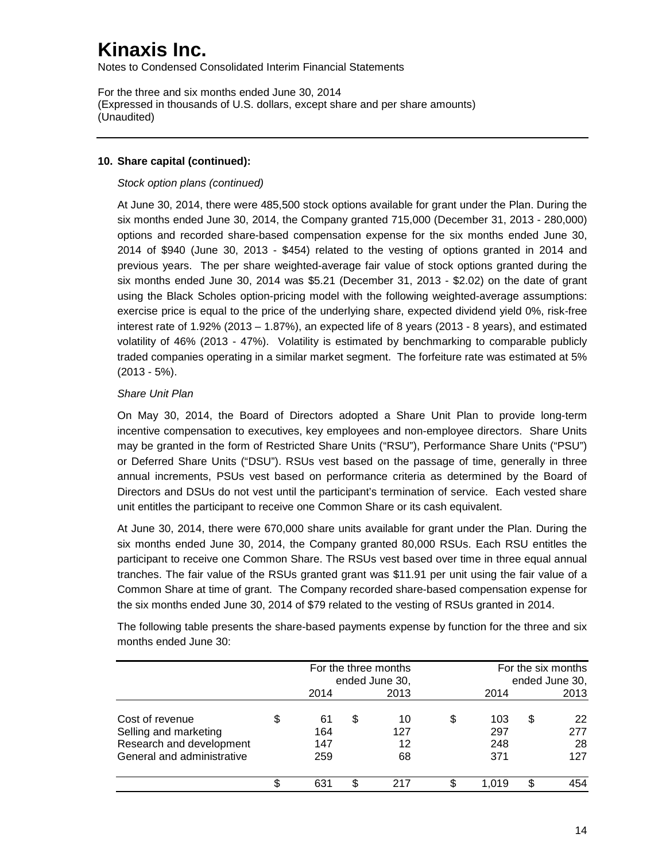Notes to Condensed Consolidated Interim Financial Statements

For the three and six months ended June 30, 2014 (Expressed in thousands of U.S. dollars, except share and per share amounts) (Unaudited)

### **10. Share capital (continued):**

### *Stock option plans (continued)*

At June 30, 2014, there were 485,500 stock options available for grant under the Plan. During the six months ended June 30, 2014, the Company granted 715,000 (December 31, 2013 - 280,000) options and recorded share-based compensation expense for the six months ended June 30, 2014 of \$940 (June 30, 2013 - \$454) related to the vesting of options granted in 2014 and previous years. The per share weighted-average fair value of stock options granted during the six months ended June 30, 2014 was \$5.21 (December 31, 2013 - \$2.02) on the date of grant using the Black Scholes option-pricing model with the following weighted-average assumptions: exercise price is equal to the price of the underlying share, expected dividend yield 0%, risk-free interest rate of 1.92% (2013 – 1.87%), an expected life of 8 years (2013 - 8 years), and estimated volatility of 46% (2013 - 47%). Volatility is estimated by benchmarking to comparable publicly traded companies operating in a similar market segment. The forfeiture rate was estimated at 5% (2013 - 5%).

### *Share Unit Plan*

On May 30, 2014, the Board of Directors adopted a Share Unit Plan to provide long-term incentive compensation to executives, key employees and non-employee directors. Share Units may be granted in the form of Restricted Share Units ("RSU"), Performance Share Units ("PSU") or Deferred Share Units ("DSU"). RSUs vest based on the passage of time, generally in three annual increments, PSUs vest based on performance criteria as determined by the Board of Directors and DSUs do not vest until the participant's termination of service. Each vested share unit entitles the participant to receive one Common Share or its cash equivalent.

At June 30, 2014, there were 670,000 share units available for grant under the Plan. During the six months ended June 30, 2014, the Company granted 80,000 RSUs. Each RSU entitles the participant to receive one Common Share. The RSUs vest based over time in three equal annual tranches. The fair value of the RSUs granted grant was \$11.91 per unit using the fair value of a Common Share at time of grant. The Company recorded share-based compensation expense for the six months ended June 30, 2014 of \$79 related to the vesting of RSUs granted in 2014.

|                            | For the three months<br>ended June 30, |    |      | For the six months<br>ended June 30, |       |   |      |
|----------------------------|----------------------------------------|----|------|--------------------------------------|-------|---|------|
|                            | 2014                                   |    | 2013 |                                      | 2014  |   | 2013 |
| Cost of revenue            | 61                                     | \$ | 10   | S                                    | 103   | S | 22   |
| Selling and marketing      | 164                                    |    | 127  |                                      | 297   |   | 277  |
| Research and development   | 147                                    |    | 12   |                                      | 248   |   | 28   |
| General and administrative | 259                                    |    | 68   |                                      | 371   |   | 127  |
|                            | 631                                    |    | 217  |                                      | 1.019 | S | 454  |

The following table presents the share-based payments expense by function for the three and six months ended June 30: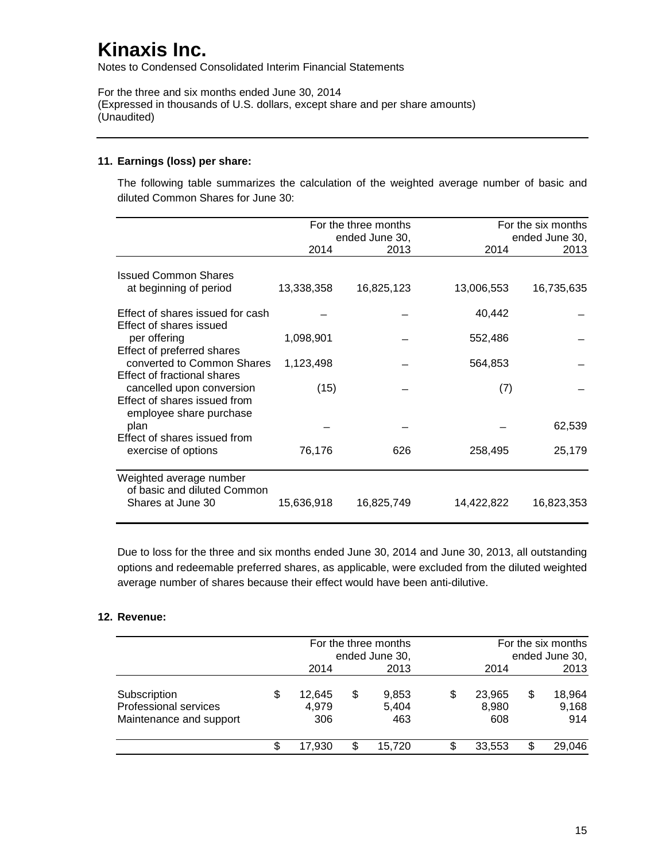Notes to Condensed Consolidated Interim Financial Statements

For the three and six months ended June 30, 2014 (Expressed in thousands of U.S. dollars, except share and per share amounts) (Unaudited)

### **11. Earnings (loss) per share:**

The following table summarizes the calculation of the weighted average number of basic and diluted Common Shares for June 30:

|                                                          |            | For the three months<br>ended June 30, |            | For the six months<br>ended June 30, |
|----------------------------------------------------------|------------|----------------------------------------|------------|--------------------------------------|
|                                                          | 2014       | 2013                                   | 2014       | 2013                                 |
| <b>Issued Common Shares</b>                              |            |                                        |            |                                      |
| at beginning of period                                   | 13,338,358 | 16,825,123                             | 13,006,553 | 16,735,635                           |
| Effect of shares issued for cash                         |            |                                        | 40,442     |                                      |
| Effect of shares issued<br>per offering                  | 1,098,901  |                                        | 552,486    |                                      |
| Effect of preferred shares<br>converted to Common Shares | 1,123,498  |                                        | 564,853    |                                      |
| Effect of fractional shares<br>cancelled upon conversion | (15)       |                                        | (7)        |                                      |
| Effect of shares issued from<br>employee share purchase  |            |                                        |            |                                      |
| plan<br>Effect of shares issued from                     |            |                                        |            | 62,539                               |
| exercise of options                                      | 76,176     | 626                                    | 258,495    | 25,179                               |
| Weighted average number<br>of basic and diluted Common   |            |                                        |            |                                      |
| Shares at June 30                                        | 15,636,918 | 16,825,749                             | 14,422,822 | 16,823,353                           |

Due to loss for the three and six months ended June 30, 2014 and June 30, 2013, all outstanding options and redeemable preferred shares, as applicable, were excluded from the diluted weighted average number of shares because their effect would have been anti-dilutive.

#### **12. Revenue:**

|                                                                  |    | For the three months<br>ended June 30, |    | For the six months<br>ended June 30, |                              |    |                        |
|------------------------------------------------------------------|----|----------------------------------------|----|--------------------------------------|------------------------------|----|------------------------|
|                                                                  |    | 2014                                   |    | 2013                                 | 2014                         |    | 2013                   |
| Subscription<br>Professional services<br>Maintenance and support | \$ | 12,645<br>4,979<br>306                 | \$ | 9,853<br>5,404<br>463                | \$<br>23,965<br>8,980<br>608 | \$ | 18,964<br>9,168<br>914 |
|                                                                  | S  | 17.930                                 | \$ | 15,720                               | 33,553                       | S  | 29,046                 |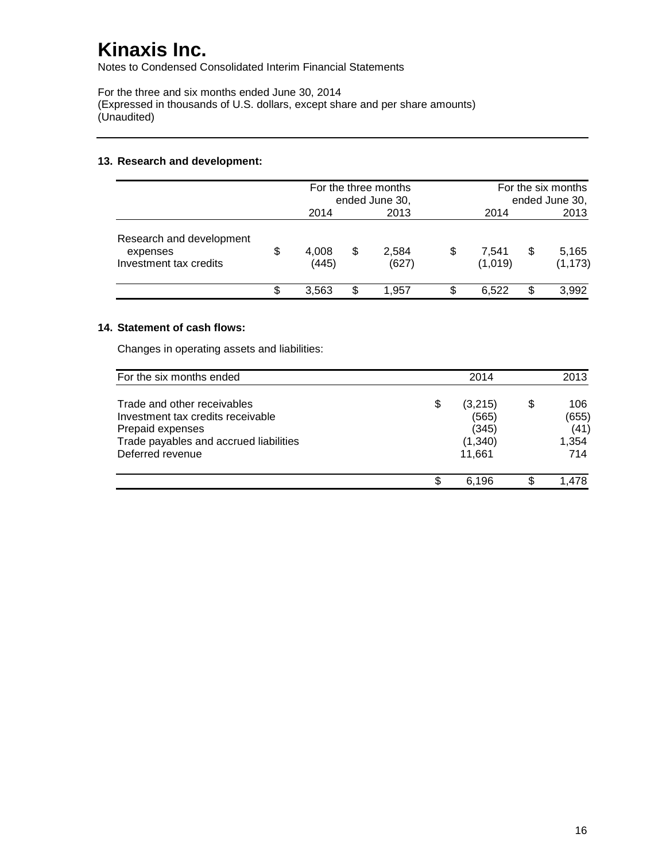Notes to Condensed Consolidated Interim Financial Statements

For the three and six months ended June 30, 2014 (Expressed in thousands of U.S. dollars, except share and per share amounts) (Unaudited)

### **13. Research and development:**

|                                                                |    | For the three months<br>ended June 30, |    | For the six months<br>ended June 30,           |                   |    |       |
|----------------------------------------------------------------|----|----------------------------------------|----|------------------------------------------------|-------------------|----|-------|
|                                                                |    | 2014                                   |    | 2013                                           | 2014              |    | 2013  |
| Research and development<br>expenses<br>Investment tax credits | \$ | 4,008<br>(445)                         | \$ | 2,584<br>7,541<br>\$<br>\$<br>(1,019)<br>(627) | 5,165<br>(1, 173) |    |       |
|                                                                | S  | 3,563                                  | \$ | 1.957                                          | 6.522             | \$ | 3,992 |

### **14. Statement of cash flows:**

Changes in operating assets and liabilities:

| For the six months ended                                                                                                                           |    | 2014                                           |   | 2013                                  |
|----------------------------------------------------------------------------------------------------------------------------------------------------|----|------------------------------------------------|---|---------------------------------------|
| Trade and other receivables<br>Investment tax credits receivable<br>Prepaid expenses<br>Trade payables and accrued liabilities<br>Deferred revenue | \$ | (3,215)<br>(565)<br>(345)<br>(1,340)<br>11,661 | S | 106.<br>(655)<br>(41)<br>1,354<br>714 |
|                                                                                                                                                    | S  | 6.196                                          |   | $+478$                                |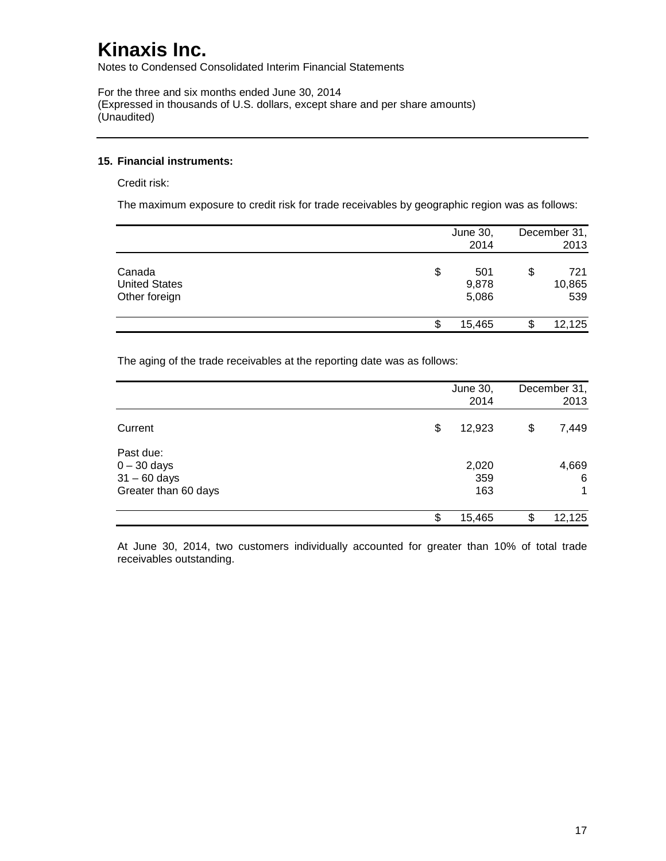Notes to Condensed Consolidated Interim Financial Statements

For the three and six months ended June 30, 2014 (Expressed in thousands of U.S. dollars, except share and per share amounts) (Unaudited)

### **15. Financial instruments:**

Credit risk:

The maximum exposure to credit risk for trade receivables by geographic region was as follows:

|                                                 | June 30,<br>2014            | December 31,<br>2013       |
|-------------------------------------------------|-----------------------------|----------------------------|
| Canada<br><b>United States</b><br>Other foreign | \$<br>501<br>9,878<br>5,086 | \$<br>721<br>10,865<br>539 |
|                                                 | \$<br>15,465                | 12,125                     |

The aging of the trade receivables at the reporting date was as follows:

|                            | June 30,     | December 31, |
|----------------------------|--------------|--------------|
|                            | 2014         | 2013         |
| Current                    | \$<br>12,923 | \$<br>7,449  |
| Past due:<br>$0 - 30$ days | 2,020        | 4,669        |
| $31 - 60$ days             | 359          | 6            |
| Greater than 60 days       | 163          | 1            |
|                            | \$<br>15,465 | \$<br>12,125 |

At June 30, 2014, two customers individually accounted for greater than 10% of total trade receivables outstanding.